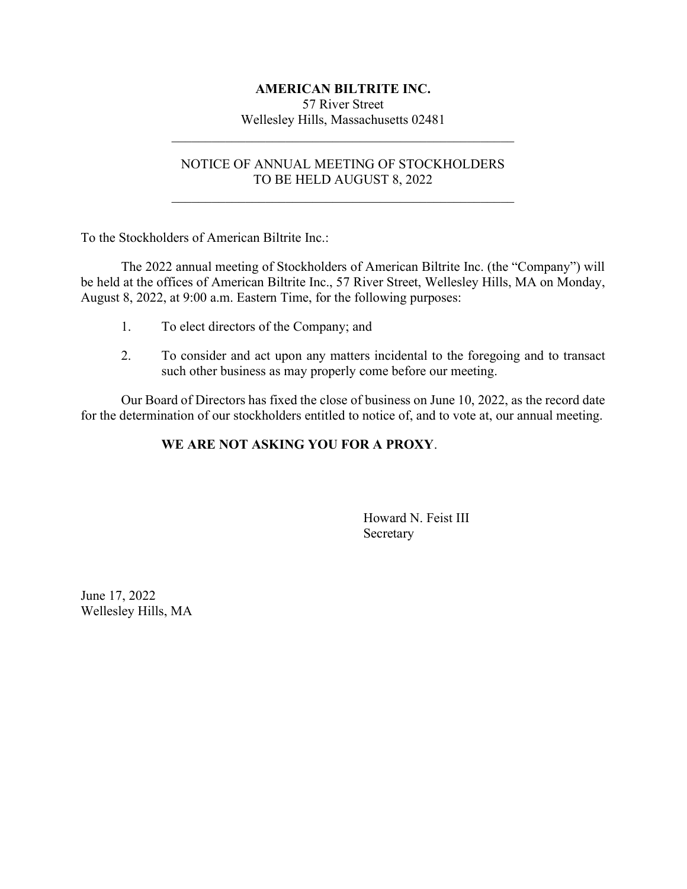#### AMERICAN BILTRITE INC.

57 River Street Wellesley Hills, Massachusetts 02481

#### NOTICE OF ANNUAL MEETING OF STOCKHOLDERS TO BE HELD AUGUST 8, 2022

To the Stockholders of American Biltrite Inc.:

The 2022 annual meeting of Stockholders of American Biltrite Inc. (the "Company") will be held at the offices of American Biltrite Inc., 57 River Street, Wellesley Hills, MA on Monday, August 8, 2022, at 9:00 a.m. Eastern Time, for the following purposes:

- 1. To elect directors of the Company; and
- 2. To consider and act upon any matters incidental to the foregoing and to transact such other business as may properly come before our meeting.

Our Board of Directors has fixed the close of business on June 10, 2022, as the record date for the determination of our stockholders entitled to notice of, and to vote at, our annual meeting.

### WE ARE NOT ASKING YOU FOR A PROXY.

 Howard N. Feist III Secretary

June 17, 2022 Wellesley Hills, MA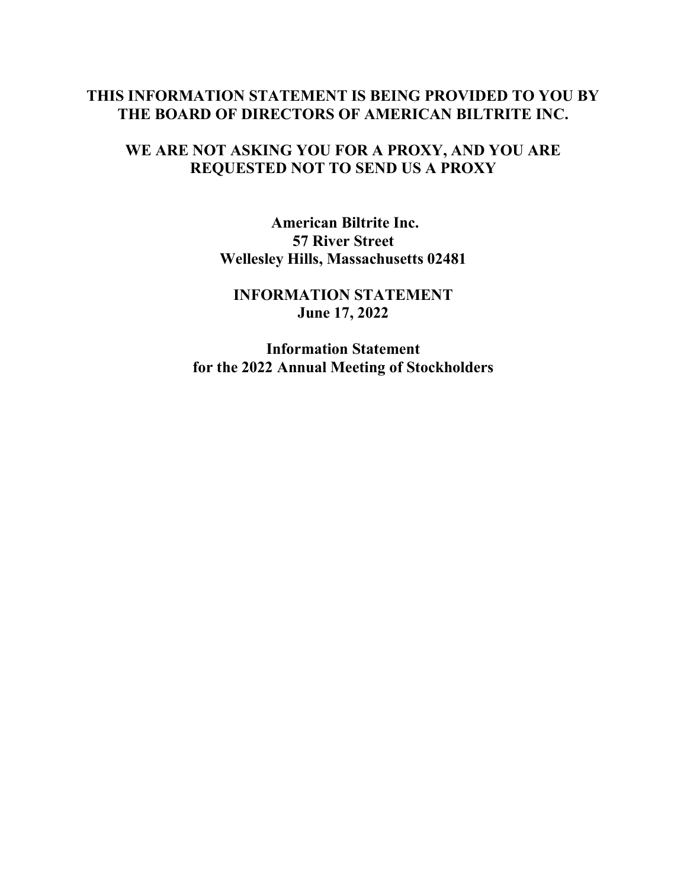## THIS INFORMATION STATEMENT IS BEING PROVIDED TO YOU BY THE BOARD OF DIRECTORS OF AMERICAN BILTRITE INC.

## WE ARE NOT ASKING YOU FOR A PROXY, AND YOU ARE REQUESTED NOT TO SEND US A PROXY

American Biltrite Inc. 57 River Street Wellesley Hills, Massachusetts 02481

INFORMATION STATEMENT June 17, 2022

Information Statement for the 2022 Annual Meeting of Stockholders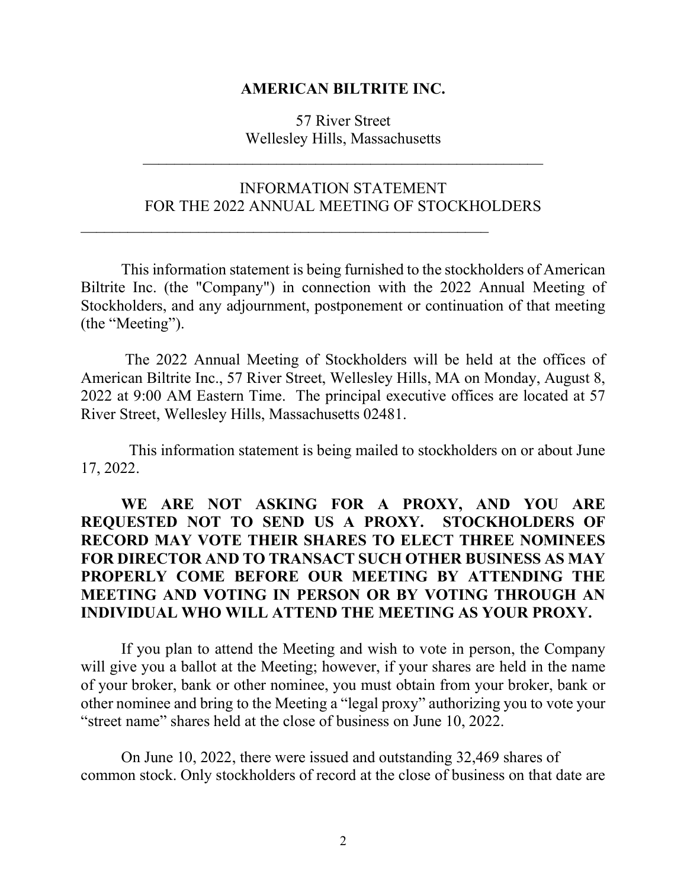#### AMERICAN BILTRITE INC.

57 River Street Wellesley Hills, Massachusetts

 $\mathcal{L}_\text{max}$  , and the contract of the contract of the contract of the contract of the contract of the contract of the contract of the contract of the contract of the contract of the contract of the contract of the contr

## INFORMATION STATEMENT FOR THE 2022 ANNUAL MEETING OF STOCKHOLDERS

This information statement is being furnished to the stockholders of American Biltrite Inc. (the "Company") in connection with the 2022 Annual Meeting of Stockholders, and any adjournment, postponement or continuation of that meeting (the "Meeting").

 The 2022 Annual Meeting of Stockholders will be held at the offices of American Biltrite Inc., 57 River Street, Wellesley Hills, MA on Monday, August 8, 2022 at 9:00 AM Eastern Time. The principal executive offices are located at 57 River Street, Wellesley Hills, Massachusetts 02481.

 This information statement is being mailed to stockholders on or about June 17, 2022.

# WE ARE NOT ASKING FOR A PROXY, AND YOU ARE REQUESTED NOT TO SEND US A PROXY. STOCKHOLDERS OF RECORD MAY VOTE THEIR SHARES TO ELECT THREE NOMINEES FOR DIRECTOR AND TO TRANSACT SUCH OTHER BUSINESS AS MAY PROPERLY COME BEFORE OUR MEETING BY ATTENDING THE MEETING AND VOTING IN PERSON OR BY VOTING THROUGH AN INDIVIDUAL WHO WILL ATTEND THE MEETING AS YOUR PROXY.

If you plan to attend the Meeting and wish to vote in person, the Company will give you a ballot at the Meeting; however, if your shares are held in the name of your broker, bank or other nominee, you must obtain from your broker, bank or other nominee and bring to the Meeting a "legal proxy" authorizing you to vote your "street name" shares held at the close of business on June 10, 2022.

On June 10, 2022, there were issued and outstanding 32,469 shares of common stock. Only stockholders of record at the close of business on that date are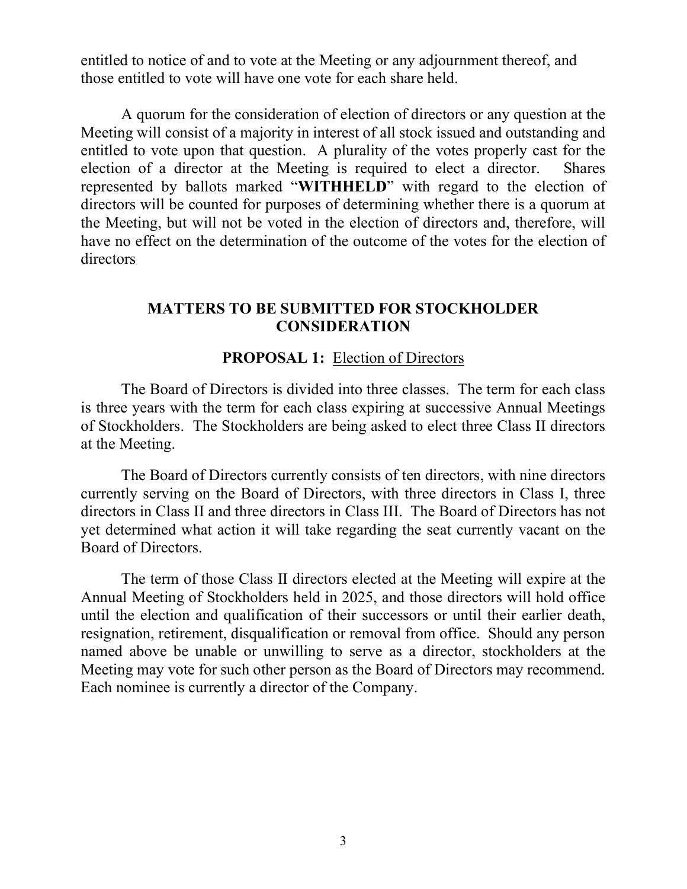entitled to notice of and to vote at the Meeting or any adjournment thereof, and those entitled to vote will have one vote for each share held.

A quorum for the consideration of election of directors or any question at the Meeting will consist of a majority in interest of all stock issued and outstanding and entitled to vote upon that question. A plurality of the votes properly cast for the election of a director at the Meeting is required to elect a director. Shares represented by ballots marked "WITHHELD" with regard to the election of directors will be counted for purposes of determining whether there is a quorum at the Meeting, but will not be voted in the election of directors and, therefore, will have no effect on the determination of the outcome of the votes for the election of directors

## MATTERS TO BE SUBMITTED FOR STOCKHOLDER **CONSIDERATION**

## PROPOSAL 1: Election of Directors

The Board of Directors is divided into three classes. The term for each class is three years with the term for each class expiring at successive Annual Meetings of Stockholders. The Stockholders are being asked to elect three Class II directors at the Meeting.

The Board of Directors currently consists of ten directors, with nine directors currently serving on the Board of Directors, with three directors in Class I, three directors in Class II and three directors in Class III. The Board of Directors has not yet determined what action it will take regarding the seat currently vacant on the Board of Directors.

The term of those Class II directors elected at the Meeting will expire at the Annual Meeting of Stockholders held in 2025, and those directors will hold office until the election and qualification of their successors or until their earlier death, resignation, retirement, disqualification or removal from office. Should any person named above be unable or unwilling to serve as a director, stockholders at the Meeting may vote for such other person as the Board of Directors may recommend. Each nominee is currently a director of the Company.